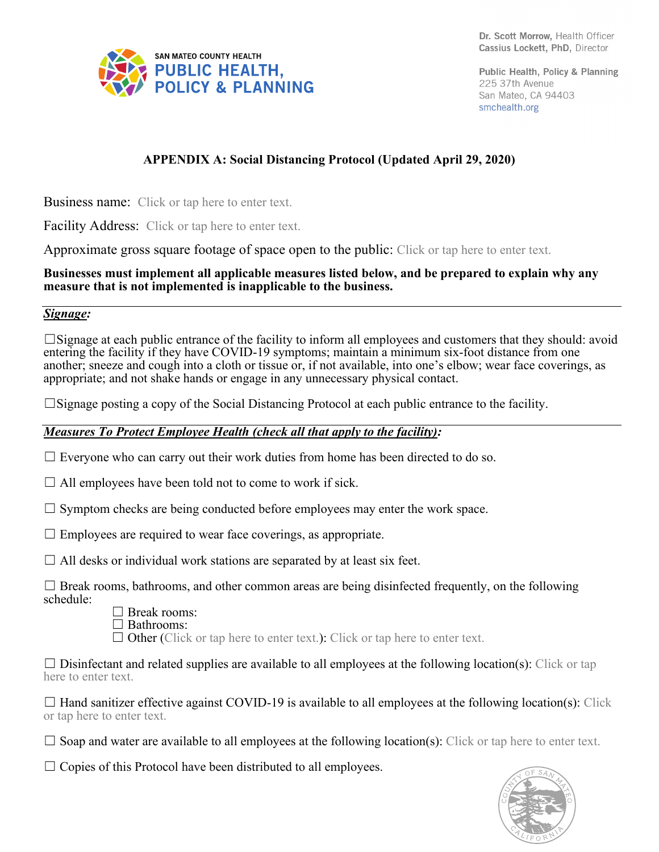

Public Health, Policy & Planning 225 37th Avenue San Mateo, CA 94403 smchealth.org

# **APPENDIX A: Social Distancing Protocol (Updated April 29, 2020)**

Business name:Click or tap here to enter text.

Facility Address: Click or tap here to enter text.

Approximate gross square footage of space open to the public: Click or tap here to enter text.

#### **Businesses must implement all applicable measures listed below, and be prepared to explain why any measure that is not implemented is inapplicable to the business.**

#### *Signage:*

☐Signage at each public entrance of the facility to inform all employees and customers that they should: avoid entering the facility if they have COVID-19 symptoms; maintain a minimum six-foot distance from one another; sneeze and cough into a cloth or tissue or, if not available, into one's elbow; wear face coverings, as appropriate; and not shake hands or engage in any unnecessary physical contact.

 $\square$ Signage posting a copy of the Social Distancing Protocol at each public entrance to the facility.

#### *Measures To Protect Employee Health (check all that apply to the facility):*

 $\Box$  Everyone who can carry out their work duties from home has been directed to do so.

 $\Box$  All employees have been told not to come to work if sick.

 $\Box$  Symptom checks are being conducted before employees may enter the work space.

 $\Box$  Employees are required to wear face coverings, as appropriate.

 $\Box$  All desks or individual work stations are separated by at least six feet.

 $\Box$  Break rooms, bathrooms, and other common areas are being disinfected frequently, on the following schedule:



☐ Bathrooms:

 $\Box$  Other (Click or tap here to enter text.): Click or tap here to enter text.

 $\Box$  Disinfectant and related supplies are available to all employees at the following location(s): Click or tap here to enter text.

 $\Box$  Hand sanitizer effective against COVID-19 is available to all employees at the following location(s): Click or tap here to enter text.

 $\Box$  Soap and water are available to all employees at the following location(s): Click or tap here to enter text.

 $\Box$  Copies of this Protocol have been distributed to all employees.

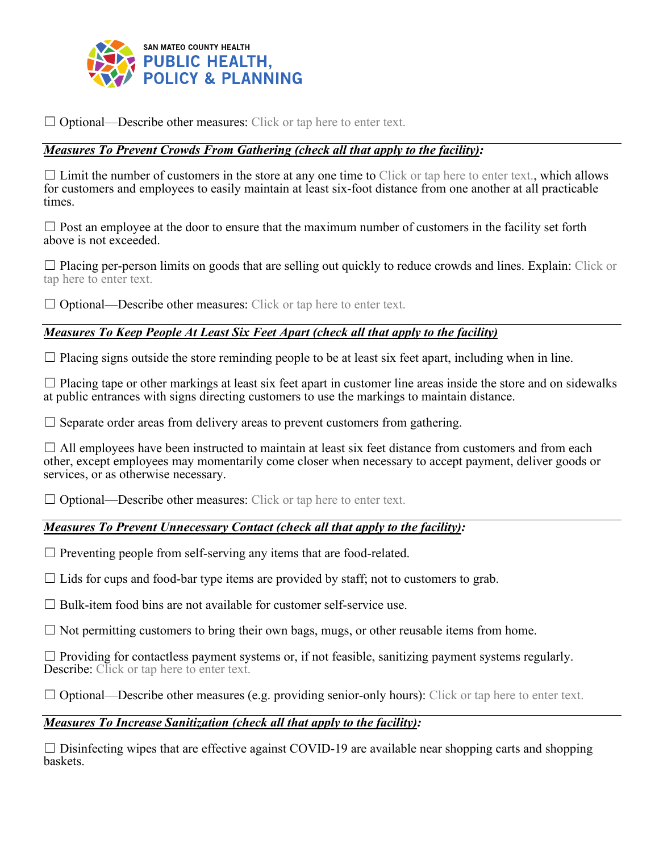

 $\Box$  Optional—Describe other measures: Click or tap here to enter text.

### *Measures To Prevent Crowds From Gathering (check all that apply to the facility):*

 $\Box$  Limit the number of customers in the store at any one time to Click or tap here to enter text., which allows for customers and employees to easily maintain at least six-foot distance from one another at all practicable times.

 $\Box$  Post an employee at the door to ensure that the maximum number of customers in the facility set forth above is not exceeded.

☐ Placing per-person limits on goods that are selling out quickly to reduce crowds and lines. Explain: Click or tap here to enter text.

 $\Box$  Optional—Describe other measures: Click or tap here to enter text.

### *Measures To Keep People At Least Six Feet Apart (check all that apply to the facility)*

 $\Box$  Placing signs outside the store reminding people to be at least six feet apart, including when in line.

 $\Box$  Placing tape or other markings at least six feet apart in customer line areas inside the store and on sidewalks at public entrances with signs directing customers to use the markings to maintain distance.

 $\Box$  Separate order areas from delivery areas to prevent customers from gathering.

 $\Box$  All employees have been instructed to maintain at least six feet distance from customers and from each other, except employees may momentarily come closer when necessary to accept payment, deliver goods or services, or as otherwise necessary.

 $\Box$  Optional—Describe other measures: Click or tap here to enter text.

#### *Measures To Prevent Unnecessary Contact (check all that apply to the facility):*

 $\Box$  Preventing people from self-serving any items that are food-related.

 $\Box$  Lids for cups and food-bar type items are provided by staff; not to customers to grab.

 $\Box$  Bulk-item food bins are not available for customer self-service use.

 $\Box$  Not permitting customers to bring their own bags, mugs, or other reusable items from home.

 $\Box$  Providing for contactless payment systems or, if not feasible, sanitizing payment systems regularly. Describe: Click or tap here to enter text.

 $\Box$  Optional—Describe other measures (e.g. providing senior-only hours): Click or tap here to enter text.

#### *Measures To Increase Sanitization (check all that apply to the facility):*

 $\Box$  Disinfecting wipes that are effective against COVID-19 are available near shopping carts and shopping baskets.